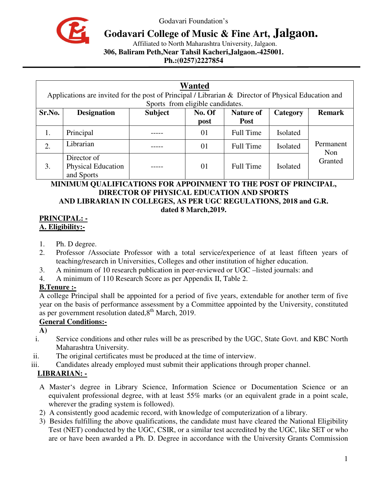

Godavari Foundation's

# **Godavari College of Music & Fine Art, Jalgaon.**

Affiliated to North Maharashtra University, Jalgaon.

**306, Baliram Peth,Near Tahsil Kacheri,Jalgaon.-425001.** 

**Ph.:(0257)2227854** 

| <b>Wanted</b><br>Applications are invited for the post of Principal / Librarian & Director of Physical Education and<br>Sports from eligible candidates. |                                                 |                |                |                                 |          |                  |
|----------------------------------------------------------------------------------------------------------------------------------------------------------|-------------------------------------------------|----------------|----------------|---------------------------------|----------|------------------|
| Sr.No.                                                                                                                                                   | <b>Designation</b>                              | <b>Subject</b> | No. Of<br>post | <b>Nature of</b><br><b>Post</b> | Category | <b>Remark</b>    |
| 1.                                                                                                                                                       | Principal                                       |                | 01             | <b>Full Time</b>                | Isolated |                  |
| 2.                                                                                                                                                       | Librarian                                       |                | 01             | <b>Full Time</b>                | Isolated | Permanent<br>Non |
| 3.                                                                                                                                                       | Director of<br>Physical Education<br>and Sports |                | 01             | <b>Full Time</b>                | Isolated | Granted          |

#### **MINIMUM QUALIFICATIONS FOR APPOINMENT TO THE POST OF PRINCIPAL, DIRECTOR OF PHYSICAL EDUCATION AND SPORTS AND LIBRARIAN IN COLLEGES, AS PER UGC REGULATIONS, 2018 and G.R. dated 8 March,2019.**

### **PRINCIPAL: - A. Eligibility:-**

- 1. Ph. D degree.
- 2. Professor /Associate Professor with a total service/experience of at least fifteen years of teaching/research in Universities, Colleges and other institution of higher education.
- 3. A minimum of 10 research publication in peer-reviewed or UGC –listed journals: and
- 4. A minimum of 110 Research Score as per Appendix II, Table 2.

## **B.Tenure :-**

A college Principal shall be appointed for a period of five years, extendable for another term of five year on the basis of performance assessment by a Committee appointed by the University, constituted as per government resolution dated, $8<sup>th</sup>$  March, 2019.

## **General Conditions:-**

**A)** 

- i. Service conditions and other rules will be as prescribed by the UGC, State Govt. and KBC North Maharashtra University.
- ii. The original certificates must be produced at the time of interview.
- iii. Candidates already employed must submit their applications through proper channel.

# **LIBRARIAN: -**

- A Master's degree in Library Science, Information Science or Documentation Science or an equivalent professional degree, with at least 55% marks (or an equivalent grade in a point scale, wherever the grading system is followed).
- 2) A consistently good academic record, with knowledge of computerization of a library.
- 3) Besides fulfilling the above qualifications, the candidate must have cleared the National Eligibility Test (NET) conducted by the UGC, CSIR, or a similar test accredited by the UGC, like SET or who are or have been awarded a Ph. D. Degree in accordance with the University Grants Commission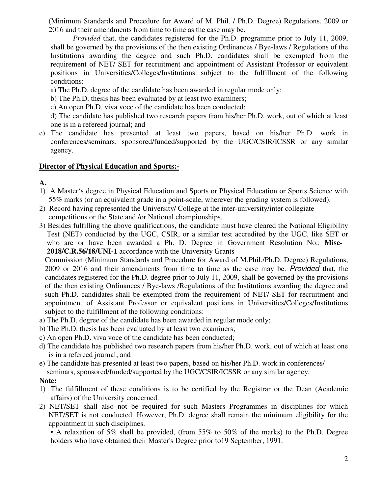(Minimum Standards and Procedure for Award of M. Phil. / Ph.D. Degree) Regulations, 2009 or 2016 and their amendments from time to time as the case may be.

*Provided* that, the candidates registered for the Ph.D. programme prior to July 11, 2009, shall be governed by the provisions of the then existing Ordinances / Bye-laws / Regulations of the Institutions awarding the degree and such Ph.D. candidates shall be exempted from the requirement of NET/ SET for recruitment and appointment of Assistant Professor or equivalent positions in Universities/Colleges/Institutions subject to the fulfillment of the following conditions:

a) The Ph.D. degree of the candidate has been awarded in regular mode only;

b) The Ph.D. thesis has been evaluated by at least two examiners;

c) An open Ph.D. viva voce of the candidate has been conducted;

d) The candidate has published two research papers from his/her Ph.D. work, out of which at least one is in a refereed journal; and

e) The candidate has presented at least two papers, based on his/her Ph.D. work in conferences/seminars, sponsored/funded/supported by the UGC/CSIR/ICSSR or any similar agency.

#### **Director of Physical Education and Sports:-**

## **A.**

- 1) A Master's degree in Physical Education and Sports or Physical Education or Sports Science with 55% marks (or an equivalent grade in a point-scale, wherever the grading system is followed).
- 2) Record having represented the University/ College at the inter-university/inter collegiate competitions or the State and /or National championships.
- 3) Besides fulfilling the above qualifications, the candidate must have cleared the National Eligibility Test (NET) conducted by the UGC, CSIR, or a similar test accredited by the UGC, like SET or who are or have been awarded a Ph. D. Degree in Government Resolution No.: **Misc- 2018/C.R.56/18/UNI-1** accordance with the University Grants

 Commission (Minimum Standards and Procedure for Award of M.Phil./Ph.D. Degree) Regulations, 2009 or 2016 and their amendments from time to time as the case may be. Provided that, the candidates registered for the Ph.D. degree prior to July 11, 2009, shall be governed by the provisions of the then existing Ordinances / Bye-laws /Regulations of the Institutions awarding the degree and such Ph.D. candidates shall be exempted from the requirement of NET/ SET for recruitment and appointment of Assistant Professor or equivalent positions in Universities/Colleges/Institutions subject to the fulfillment of the following conditions:

- a) The Ph.D. degree of the candidate has been awarded in regular mode only;
- b) The Ph.D. thesis has been evaluated by at least two examiners;
- c) An open Ph.D. viva voce of the candidate has been conducted;
- d) The candidate has published two research papers from his/her Ph.D. work, out of which at least one is in a refereed journal; and
- e) The candidate has presented at least two papers, based on his/her Ph.D. work in conferences/

seminars, sponsored/funded/supported by the UGC/CSIR/ICSSR or any similar agency.

#### **Note:**

- 1) The fulfillment of these conditions is to be certified by the Registrar or the Dean (Academic affairs) of the University concerned.
- 2) NET/SET shall also not be required for such Masters Programmes in disciplines for which NET/SET is not conducted. However, Ph.D. degree shall remain the minimum eligibility for the appointment in such disciplines.

• A relaxation of 5% shall be provided, (from 55% to 50% of the marks) to the Ph.D. Degree holders who have obtained their Master's Degree prior to19 September, 1991.